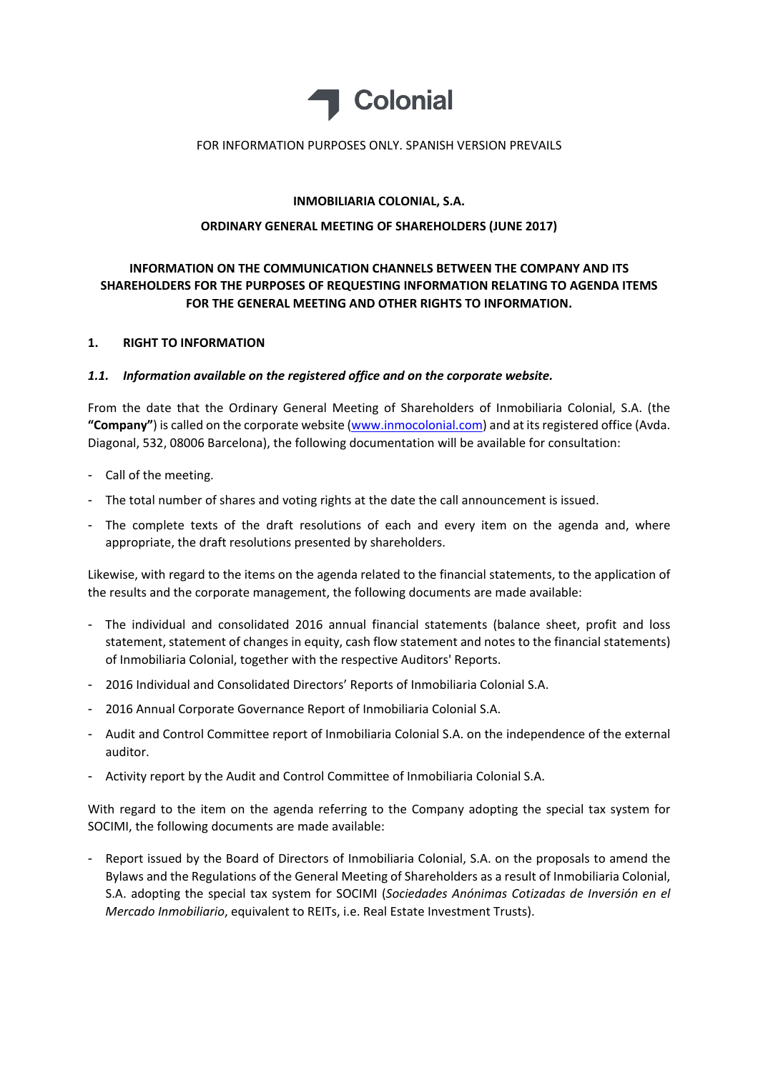

## FOR INFORMATION PURPOSES ONLY. SPANISH VERSION PREVAILS

## **INMOBILIARIA COLONIAL, S.A.**

## **ORDINARY GENERAL MEETING OF SHAREHOLDERS (JUNE 2017)**

# **INFORMATION ON THE COMMUNICATION CHANNELS BETWEEN THE COMPANY AND ITS SHAREHOLDERS FOR THE PURPOSES OF REQUESTING INFORMATION RELATING TO AGENDA ITEMS FOR THE GENERAL MEETING AND OTHER RIGHTS TO INFORMATION.**

## **1. RIGHT TO INFORMATION**

## *1.1. Information available on the registered office and on the corporate website.*

From the date that the Ordinary General Meeting of Shareholders of Inmobiliaria Colonial, S.A. (the **"Company"**) is called on the corporate website (www.inmocolonial.com) and at itsregistered office (Avda. Diagonal, 532, 08006 Barcelona), the following documentation will be available for consultation:

- Call of the meeting.
- The total number of shares and voting rights at the date the call announcement is issued.
- The complete texts of the draft resolutions of each and every item on the agenda and, where appropriate, the draft resolutions presented by shareholders.

Likewise, with regard to the items on the agenda related to the financial statements, to the application of the results and the corporate management, the following documents are made available:

- The individual and consolidated 2016 annual financial statements (balance sheet, profit and loss statement, statement of changes in equity, cash flow statement and notes to the financial statements) of Inmobiliaria Colonial, together with the respective Auditors' Reports.
- 2016 Individual and Consolidated Directors' Reports of Inmobiliaria Colonial S.A.
- 2016 Annual Corporate Governance Report of Inmobiliaria Colonial S.A.
- Audit and Control Committee report of Inmobiliaria Colonial S.A. on the independence of the external auditor.
- Activity report by the Audit and Control Committee of Inmobiliaria Colonial S.A.

With regard to the item on the agenda referring to the Company adopting the special tax system for SOCIMI, the following documents are made available:

- Report issued by the Board of Directors of Inmobiliaria Colonial, S.A. on the proposals to amend the Bylaws and the Regulations of the General Meeting of Shareholders as a result of Inmobiliaria Colonial, S.A. adopting the special tax system for SOCIMI (*Sociedades Anónimas Cotizadas de Inversión en el Mercado Inmobiliario*, equivalent to REITs, i.e. Real Estate Investment Trusts).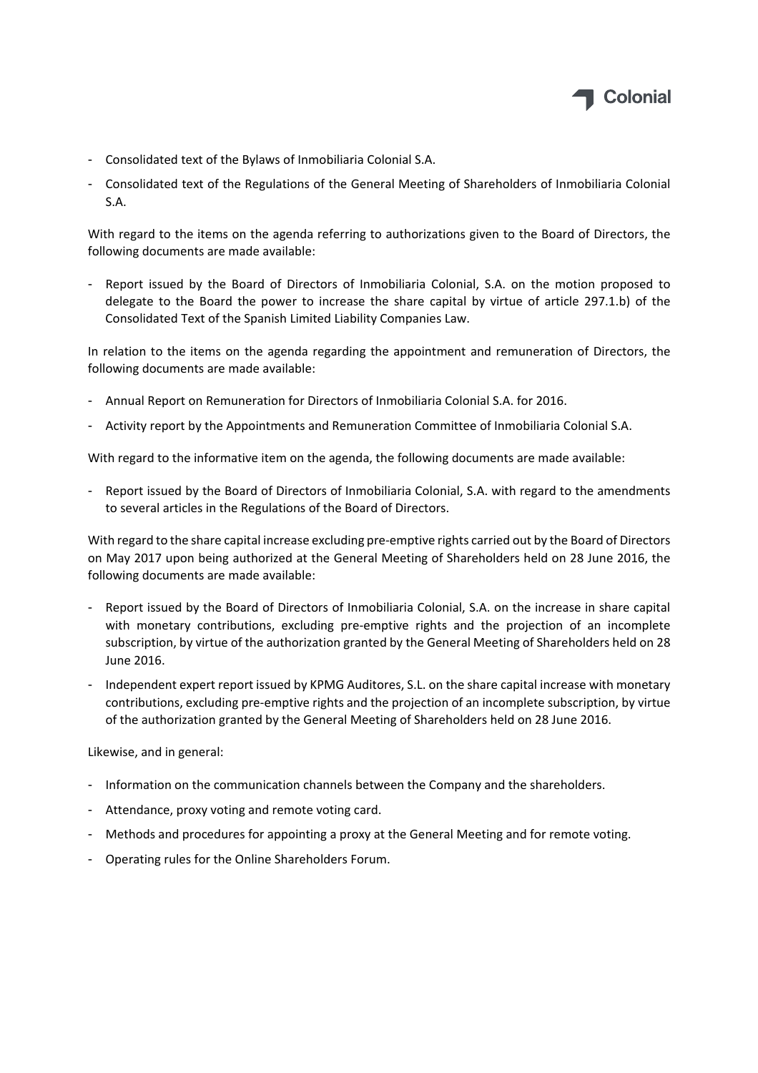

- Consolidated text of the Bylaws of Inmobiliaria Colonial S.A.
- Consolidated text of the Regulations of the General Meeting of Shareholders of Inmobiliaria Colonial S.A.

With regard to the items on the agenda referring to authorizations given to the Board of Directors, the following documents are made available:

- Report issued by the Board of Directors of Inmobiliaria Colonial, S.A. on the motion proposed to delegate to the Board the power to increase the share capital by virtue of article 297.1.b) of the Consolidated Text of the Spanish Limited Liability Companies Law.

In relation to the items on the agenda regarding the appointment and remuneration of Directors, the following documents are made available:

- Annual Report on Remuneration for Directors of Inmobiliaria Colonial S.A. for 2016.
- Activity report by the Appointments and Remuneration Committee of Inmobiliaria Colonial S.A.

With regard to the informative item on the agenda, the following documents are made available:

- Report issued by the Board of Directors of Inmobiliaria Colonial, S.A. with regard to the amendments to several articles in the Regulations of the Board of Directors.

With regard to the share capital increase excluding pre‐emptive rights carried out by the Board of Directors on May 2017 upon being authorized at the General Meeting of Shareholders held on 28 June 2016, the following documents are made available:

- Report issued by the Board of Directors of Inmobiliaria Colonial, S.A. on the increase in share capital with monetary contributions, excluding pre-emptive rights and the projection of an incomplete subscription, by virtue of the authorization granted by the General Meeting of Shareholders held on 28 June 2016.
- Independent expert report issued by KPMG Auditores, S.L. on the share capital increase with monetary contributions, excluding pre‐emptive rights and the projection of an incomplete subscription, by virtue of the authorization granted by the General Meeting of Shareholders held on 28 June 2016.

Likewise, and in general:

- Information on the communication channels between the Company and the shareholders.
- Attendance, proxy voting and remote voting card.
- Methods and procedures for appointing a proxy at the General Meeting and for remote voting.
- Operating rules for the Online Shareholders Forum.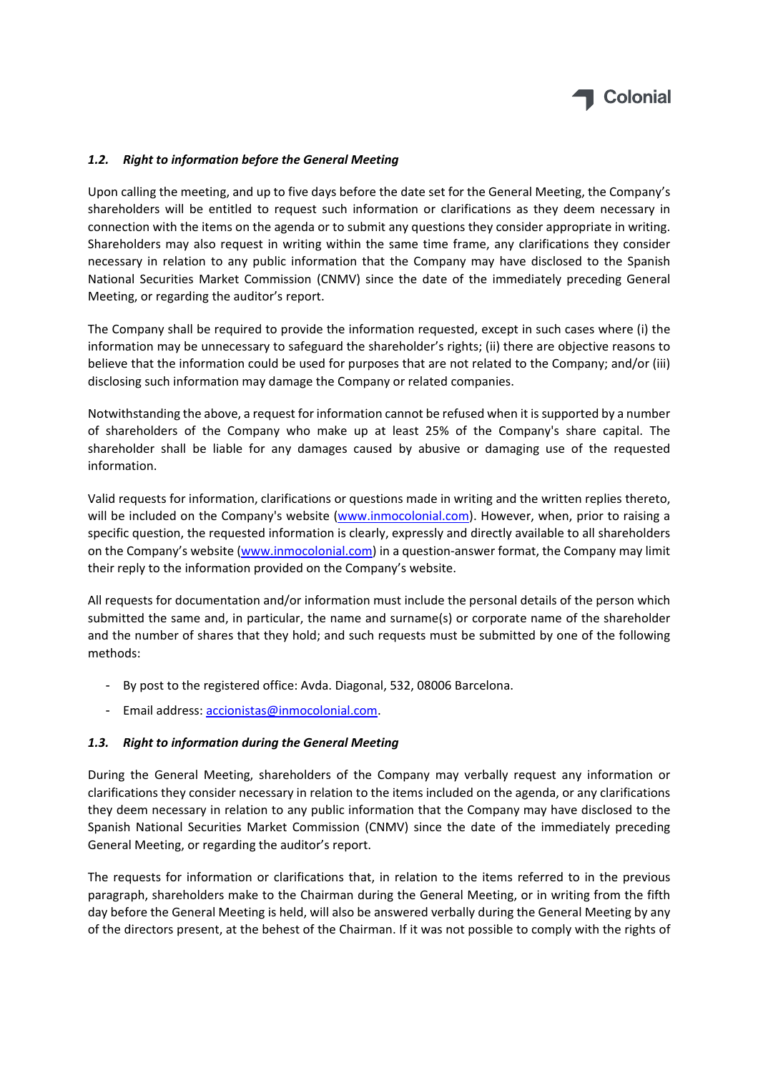

## *1.2. Right to information before the General Meeting*

Upon calling the meeting, and up to five days before the date set for the General Meeting, the Company's shareholders will be entitled to request such information or clarifications as they deem necessary in connection with the items on the agenda or to submit any questions they consider appropriate in writing. Shareholders may also request in writing within the same time frame, any clarifications they consider necessary in relation to any public information that the Company may have disclosed to the Spanish National Securities Market Commission (CNMV) since the date of the immediately preceding General Meeting, or regarding the auditor's report.

The Company shall be required to provide the information requested, except in such cases where (i) the information may be unnecessary to safeguard the shareholder's rights; (ii) there are objective reasons to believe that the information could be used for purposes that are not related to the Company; and/or (iii) disclosing such information may damage the Company or related companies.

Notwithstanding the above, a request for information cannot be refused when it issupported by a number of shareholders of the Company who make up at least 25% of the Company's share capital. The shareholder shall be liable for any damages caused by abusive or damaging use of the requested information.

Valid requests for information, clarifications or questions made in writing and the written replies thereto, will be included on the Company's website (www.inmocolonial.com). However, when, prior to raising a specific question, the requested information is clearly, expressly and directly available to all shareholders on the Company's website (www.inmocolonial.com) in a question-answer format, the Company may limit their reply to the information provided on the Company's website.

All requests for documentation and/or information must include the personal details of the person which submitted the same and, in particular, the name and surname(s) or corporate name of the shareholder and the number of shares that they hold; and such requests must be submitted by one of the following methods:

- By post to the registered office: Avda. Diagonal, 532, 08006 Barcelona.
- Email address: accionistas@inmocolonial.com.

#### *1.3. Right to information during the General Meeting*

During the General Meeting, shareholders of the Company may verbally request any information or clarifications they consider necessary in relation to the items included on the agenda, or any clarifications they deem necessary in relation to any public information that the Company may have disclosed to the Spanish National Securities Market Commission (CNMV) since the date of the immediately preceding General Meeting, or regarding the auditor's report.

The requests for information or clarifications that, in relation to the items referred to in the previous paragraph, shareholders make to the Chairman during the General Meeting, or in writing from the fifth day before the General Meeting is held, will also be answered verbally during the General Meeting by any of the directors present, at the behest of the Chairman. If it was not possible to comply with the rights of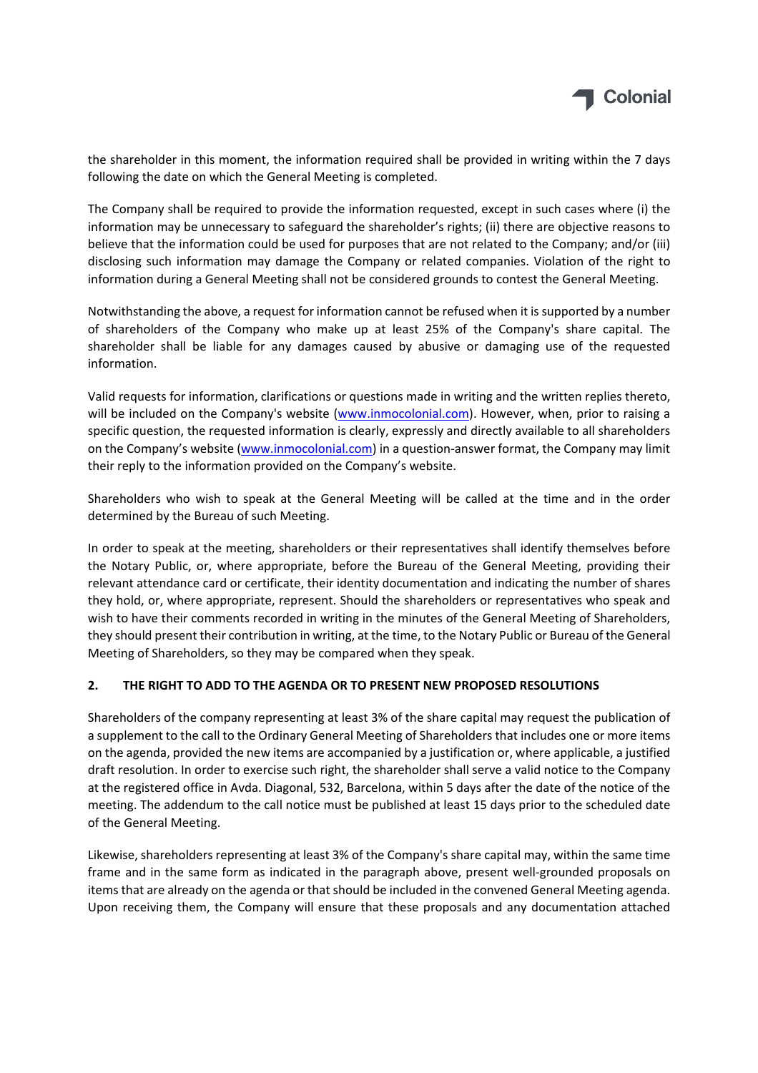

the shareholder in this moment, the information required shall be provided in writing within the 7 days following the date on which the General Meeting is completed.

The Company shall be required to provide the information requested, except in such cases where (i) the information may be unnecessary to safeguard the shareholder's rights; (ii) there are objective reasons to believe that the information could be used for purposes that are not related to the Company; and/or (iii) disclosing such information may damage the Company or related companies. Violation of the right to information during a General Meeting shall not be considered grounds to contest the General Meeting.

Notwithstanding the above, a request for information cannot be refused when it issupported by a number of shareholders of the Company who make up at least 25% of the Company's share capital. The shareholder shall be liable for any damages caused by abusive or damaging use of the requested information.

Valid requests for information, clarifications or questions made in writing and the written replies thereto, will be included on the Company's website (www.inmocolonial.com). However, when, prior to raising a specific question, the requested information is clearly, expressly and directly available to all shareholders on the Company's website (www.inmocolonial.com) in a question‐answer format, the Company may limit their reply to the information provided on the Company's website.

Shareholders who wish to speak at the General Meeting will be called at the time and in the order determined by the Bureau of such Meeting.

In order to speak at the meeting, shareholders or their representatives shall identify themselves before the Notary Public, or, where appropriate, before the Bureau of the General Meeting, providing their relevant attendance card or certificate, their identity documentation and indicating the number of shares they hold, or, where appropriate, represent. Should the shareholders or representatives who speak and wish to have their comments recorded in writing in the minutes of the General Meeting of Shareholders, they should present their contribution in writing, at the time, to the Notary Public or Bureau of the General Meeting of Shareholders, so they may be compared when they speak.

## **2. THE RIGHT TO ADD TO THE AGENDA OR TO PRESENT NEW PROPOSED RESOLUTIONS**

Shareholders of the company representing at least 3% of the share capital may request the publication of a supplement to the call to the Ordinary General Meeting of Shareholders that includes one or more items on the agenda, provided the new items are accompanied by a justification or, where applicable, a justified draft resolution. In order to exercise such right, the shareholder shall serve a valid notice to the Company at the registered office in Avda. Diagonal, 532, Barcelona, within 5 days after the date of the notice of the meeting. The addendum to the call notice must be published at least 15 days prior to the scheduled date of the General Meeting.

Likewise, shareholders representing at least 3% of the Company's share capital may, within the same time frame and in the same form as indicated in the paragraph above, present well‐grounded proposals on items that are already on the agenda or that should be included in the convened General Meeting agenda. Upon receiving them, the Company will ensure that these proposals and any documentation attached